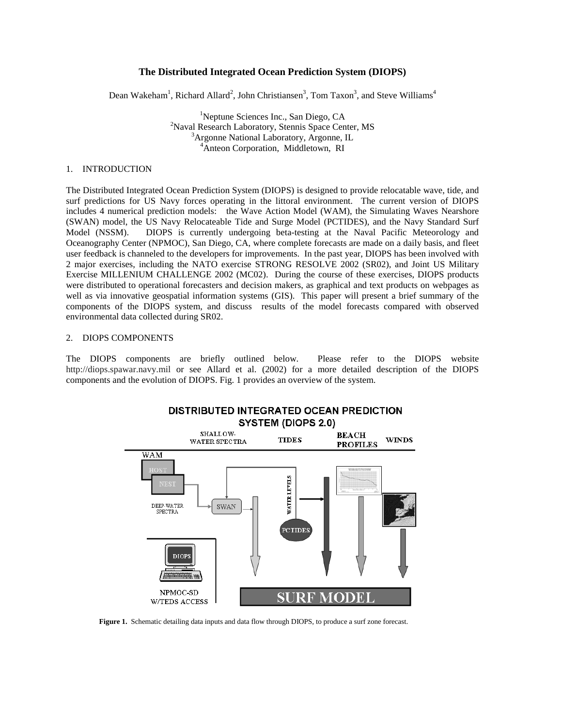# **The Distributed Integrated Ocean Prediction System (DIOPS)**

Dean Wakeham<sup>1</sup>, Richard Allard<sup>2</sup>, John Christiansen<sup>3</sup>, Tom Taxon<sup>3</sup>, and Steve Williams<sup>4</sup>

<sup>1</sup>Neptune Sciences Inc., San Diego, CA<sup>2</sup>Nevel Because Lebestery, Stanis Speeg Can <sup>2</sup>Naval Research Laboratory, Stennis Space Center, MS Argonne National Laboratory, Argonne, IL 4 Anteon Corporation, Middletown, RI

#### 1. INTRODUCTION

The Distributed Integrated Ocean Prediction System (DIOPS) is designed to provide relocatable wave, tide, and surf predictions for US Navy forces operating in the littoral environment. The current version of DIOPS includes 4 numerical prediction models: the Wave Action Model (WAM), the Simulating Waves Nearshore (SWAN) model, the US Navy Relocateable Tide and Surge Model (PCTIDES), and the Navy Standard Surf Model (NSSM). DIOPS is currently undergoing beta-testing at the Naval Pacific Meteorology and Oceanography Center (NPMOC), San Diego, CA, where complete forecasts are made on a daily basis, and fleet user feedback is channeled to the developers for improvements. In the past year, DIOPS has been involved with 2 major exercises, including the NATO exercise STRONG RESOLVE 2002 (SR02), and Joint US Military Exercise MILLENIUM CHALLENGE 2002 (MC02). During the course of these exercises, DIOPS products were distributed to operational forecasters and decision makers, as graphical and text products on webpages as well as via innovative geospatial information systems (GIS). This paper will present a brief summary of the components of the DIOPS system, and discuss results of the model forecasts compared with observed environmental data collected during SR02.

## 2. DIOPS COMPONENTS

The DIOPS components are briefly outlined below. Please refer to the DIOPS website http://diops.spawar.navy.mil or see Allard et al. (2002) for a more detailed description of the DIOPS components and the evolution of DIOPS. Fig. 1 provides an overview of the system.



**Figure 1.** Schematic detailing data inputs and data flow through DIOPS, to produce a surf zone forecast.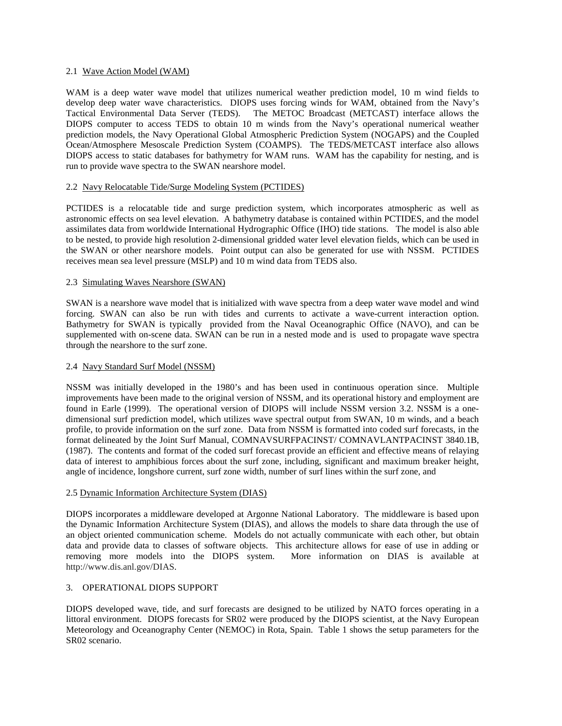## 2.1 Wave Action Model (WAM)

WAM is a deep water wave model that utilizes numerical weather prediction model, 10 m wind fields to develop deep water wave characteristics. DIOPS uses forcing winds for WAM, obtained from the Navy's Tactical Environmental Data Server (TEDS). The METOC Broadcast (METCAST) interface allows the DIOPS computer to access TEDS to obtain 10 m winds from the Navy's operational numerical weather prediction models, the Navy Operational Global Atmospheric Prediction System (NOGAPS) and the Coupled Ocean/Atmosphere Mesoscale Prediction System (COAMPS). The TEDS/METCAST interface also allows DIOPS access to static databases for bathymetry for WAM runs. WAM has the capability for nesting, and is run to provide wave spectra to the SWAN nearshore model.

## 2.2 Navy Relocatable Tide/Surge Modeling System (PCTIDES)

PCTIDES is a relocatable tide and surge prediction system, which incorporates atmospheric as well as astronomic effects on sea level elevation. A bathymetry database is contained within PCTIDES, and the model assimilates data from worldwide International Hydrographic Office (IHO) tide stations. The model is also able to be nested, to provide high resolution 2-dimensional gridded water level elevation fields, which can be used in the SWAN or other nearshore models. Point output can also be generated for use with NSSM. PCTIDES receives mean sea level pressure (MSLP) and 10 m wind data from TEDS also.

## 2.3 Simulating Waves Nearshore (SWAN)

SWAN is a nearshore wave model that is initialized with wave spectra from a deep water wave model and wind forcing. SWAN can also be run with tides and currents to activate a wave-current interaction option. Bathymetry for SWAN is typically provided from the Naval Oceanographic Office (NAVO), and can be supplemented with on-scene data. SWAN can be run in a nested mode and is used to propagate wave spectra through the nearshore to the surf zone.

## 2.4 Navy Standard Surf Model (NSSM)

NSSM was initially developed in the 1980's and has been used in continuous operation since. Multiple improvements have been made to the original version of NSSM, and its operational history and employment are found in Earle (1999). The operational version of DIOPS will include NSSM version 3.2. NSSM is a onedimensional surf prediction model, which utilizes wave spectral output from SWAN, 10 m winds, and a beach profile, to provide information on the surf zone. Data from NSSM is formatted into coded surf forecasts, in the format delineated by the Joint Surf Manual, COMNAVSURFPACINST/ COMNAVLANTPACINST 3840.1B, (1987). The contents and format of the coded surf forecast provide an efficient and effective means of relaying data of interest to amphibious forces about the surf zone, including, significant and maximum breaker height, angle of incidence, longshore current, surf zone width, number of surf lines within the surf zone, and

#### 2.5 Dynamic Information Architecture System (DIAS)

DIOPS incorporates a middleware developed at Argonne National Laboratory. The middleware is based upon the Dynamic Information Architecture System (DIAS), and allows the models to share data through the use of an object oriented communication scheme. Models do not actually communicate with each other, but obtain data and provide data to classes of software objects. This architecture allows for ease of use in adding or removing more models into the DIOPS system. More information on DIAS is available at http://www.dis.anl.gov/DIAS.

# 3. OPERATIONAL DIOPS SUPPORT

DIOPS developed wave, tide, and surf forecasts are designed to be utilized by NATO forces operating in a littoral environment. DIOPS forecasts for SR02 were produced by the DIOPS scientist, at the Navy European Meteorology and Oceanography Center (NEMOC) in Rota, Spain. Table 1 shows the setup parameters for the SR02 scenario.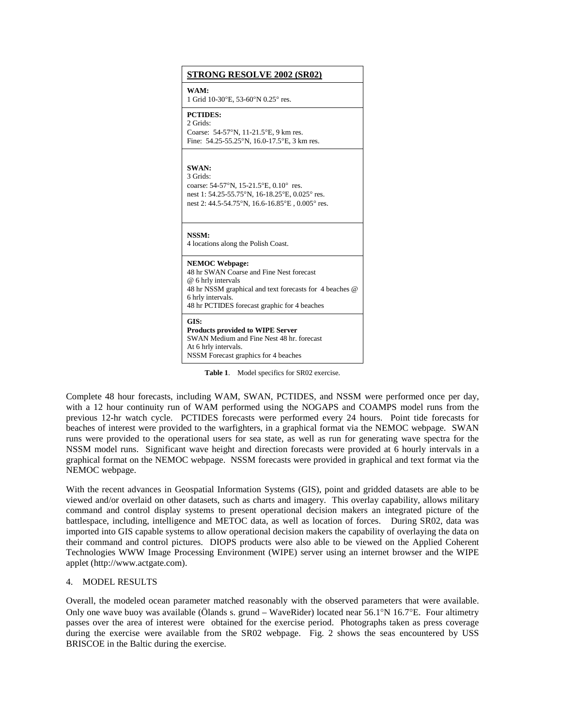| <b>STRONG RESOLVE 2002 (SR02)</b>                                                                                                                                                                                       |
|-------------------------------------------------------------------------------------------------------------------------------------------------------------------------------------------------------------------------|
| WAM:<br>1 Grid 10-30°E, 53-60°N 0.25° res.                                                                                                                                                                              |
| <b>PCTIDES:</b><br>2 Grids:<br>Coarse: 54-57°N, 11-21.5°E, 9 km res.<br>Fine: 54.25-55.25°N, 16.0-17.5°E, 3 km res.                                                                                                     |
| <b>SWAN:</b><br>3 Grids:<br>coarse: $54-57^{\circ}N$ , $15-21.5^{\circ}E$ , $0.10^{\circ}$ res.<br>nest 1: 54.25-55.75°N, 16-18.25°E, 0.025° res.<br>nest 2: 44.5-54.75°N, 16.6-16.85°E, 0.005° res.                    |
| NSSM:<br>4 locations along the Polish Coast.                                                                                                                                                                            |
| <b>NEMOC Webpage:</b><br>48 hr SWAN Coarse and Fine Nest forecast<br>@ 6 hrly intervals<br>48 hr NSSM graphical and text forecasts for 4 beaches @<br>6 hrly intervals.<br>48 hr PCTIDES forecast graphic for 4 beaches |
| GIS:<br><b>Products provided to WIPE Server</b><br>SWAN Medium and Fine Nest 48 hr. forecast<br>At 6 hrly intervals.<br>NSSM Forecast graphics for 4 beaches                                                            |

**Table 1**. Model specifics for SR02 exercise.

Complete 48 hour forecasts, including WAM, SWAN, PCTIDES, and NSSM were performed once per day, with a 12 hour continuity run of WAM performed using the NOGAPS and COAMPS model runs from the previous 12-hr watch cycle. PCTIDES forecasts were performed every 24 hours. Point tide forecasts for beaches of interest were provided to the warfighters, in a graphical format via the NEMOC webpage. SWAN runs were provided to the operational users for sea state, as well as run for generating wave spectra for the NSSM model runs. Significant wave height and direction forecasts were provided at 6 hourly intervals in a graphical format on the NEMOC webpage. NSSM forecasts were provided in graphical and text format via the NEMOC webpage.

With the recent advances in Geospatial Information Systems (GIS), point and gridded datasets are able to be viewed and/or overlaid on other datasets, such as charts and imagery. This overlay capability, allows military command and control display systems to present operational decision makers an integrated picture of the battlespace, including, intelligence and METOC data, as well as location of forces. During SR02, data was imported into GIS capable systems to allow operational decision makers the capability of overlaying the data on their command and control pictures. DIOPS products were also able to be viewed on the Applied Coherent Technologies WWW Image Processing Environment (WIPE) server using an internet browser and the WIPE applet (http://www.actgate.com).

#### 4. MODEL RESULTS

Overall, the modeled ocean parameter matched reasonably with the observed parameters that were available. Only one wave buoy was available (Ölands s. grund – WaveRider) located near 56.1°N 16.7°E. Four altimetry passes over the area of interest were obtained for the exercise period. Photographs taken as press coverage during the exercise were available from the SR02 webpage. Fig. 2 shows the seas encountered by USS BRISCOE in the Baltic during the exercise.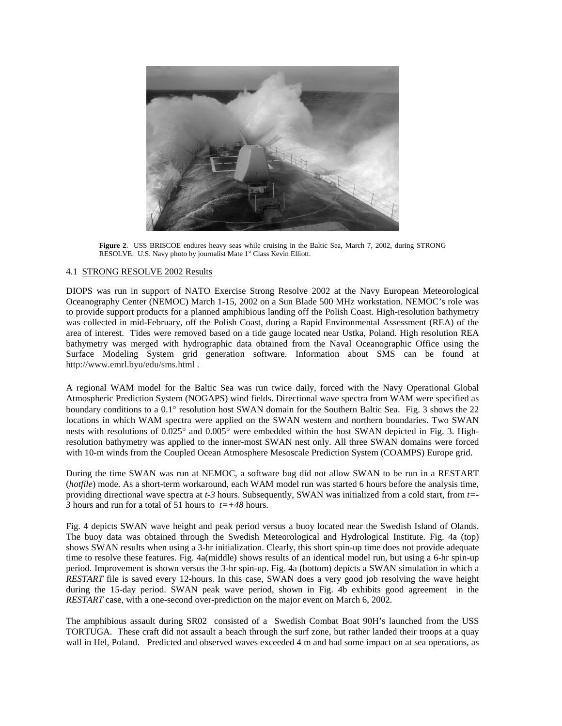

**Figure 2**. USS BRISCOE endures heavy seas while cruising in the Baltic Sea, March 7, 2002, during STRONG RESOLVE. U.S. Navy photo by journalist Mate 1<sup>st</sup> Class Kevin Elliott.

## 4.1 STRONG RESOLVE 2002 Results

DIOPS was run in support of NATO Exercise Strong Resolve 2002 at the Navy European Meteorological Oceanography Center (NEMOC) March 1-15, 2002 on a Sun Blade 500 MHz workstation. NEMOC's role was to provide support products for a planned amphibious landing off the Polish Coast. High-resolution bathymetry was collected in mid-February, off the Polish Coast, during a Rapid Environmental Assessment (REA) of the area of interest. Tides were removed based on a tide gauge located near Ustka, Poland. High resolution REA bathymetry was merged with hydrographic data obtained from the Naval Oceanographic Office using the Surface Modeling System grid generation software. Information about SMS can be found at http://www.emrl.byu/edu/sms.html .

A regional WAM model for the Baltic Sea was run twice daily, forced with the Navy Operational Global Atmospheric Prediction System (NOGAPS) wind fields. Directional wave spectra from WAM were specified as boundary conditions to a 0.1° resolution host SWAN domain for the Southern Baltic Sea. Fig. 3 shows the 22 locations in which WAM spectra were applied on the SWAN western and northern boundaries. Two SWAN nests with resolutions of 0.025° and 0.005° were embedded within the host SWAN depicted in Fig. 3. Highresolution bathymetry was applied to the inner-most SWAN nest only. All three SWAN domains were forced with 10-m winds from the Coupled Ocean Atmosphere Mesoscale Prediction System (COAMPS) Europe grid.

During the time SWAN was run at NEMOC, a software bug did not allow SWAN to be run in a RESTART (*hotfile*) mode. As a short-term workaround, each WAM model run was started 6 hours before the analysis time, providing directional wave spectra at *t-3* hours. Subsequently, SWAN was initialized from a cold start, from *t=-*  $\overline{3}$  hours and run for a total of 51 hours to  $t=+48$  hours.

Fig. 4 depicts SWAN wave height and peak period versus a buoy located near the Swedish Island of Olands. The buoy data was obtained through the Swedish Meteorological and Hydrological Institute. Fig. 4a (top) shows SWAN results when using a 3-hr initialization. Clearly, this short spin-up time does not provide adequate time to resolve these features. Fig. 4a(middle) shows results of an identical model run, but using a 6-hr spin-up period. Improvement is shown versus the 3-hr spin-up. Fig. 4a (bottom) depicts a SWAN simulation in which a *RESTART* file is saved every 12-hours. In this case, SWAN does a very good job resolving the wave height during the 15-day period. SWAN peak wave period, shown in Fig. 4b exhibits good agreement in the *RESTART* case, with a one-second over-prediction on the major event on March 6, 2002.

The amphibious assault during SR02 consisted of a Swedish Combat Boat 90H's launched from the USS TORTUGA. These craft did not assault a beach through the surf zone, but rather landed their troops at a quay wall in Hel, Poland. Predicted and observed waves exceeded 4 m and had some impact on at sea operations, as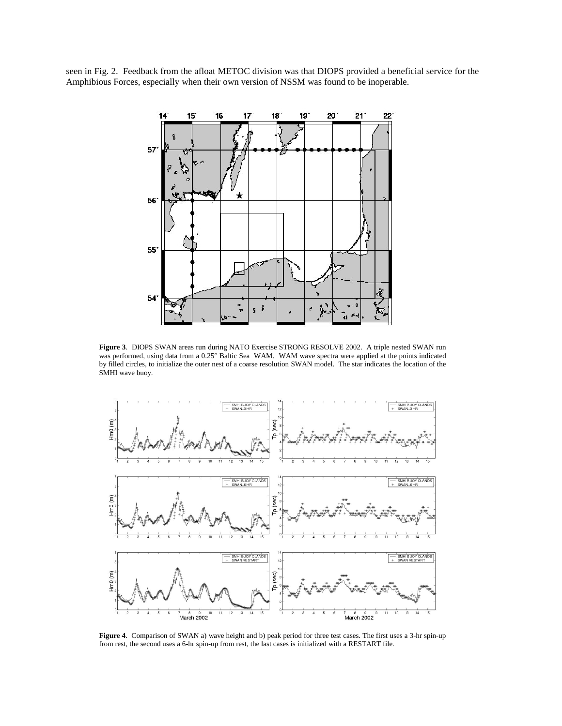seen in Fig. 2. Feedback from the afloat METOC division was that DIOPS provided a beneficial service for the Amphibious Forces, especially when their own version of NSSM was found to be inoperable.



**Figure 3**. DIOPS SWAN areas run during NATO Exercise STRONG RESOLVE 2002. A triple nested SWAN run was performed, using data from a 0.25° Baltic Sea WAM. WAM wave spectra were applied at the points indicated by filled circles, to initialize the outer nest of a coarse resolution SWAN model. The star indicates the location of the SMHI wave buoy.



**Figure 4**. Comparison of SWAN a) wave height and b) peak period for three test cases. The first uses a 3-hr spin-up from rest, the second uses a 6-hr spin-up from rest, the last cases is initialized with a RESTART file.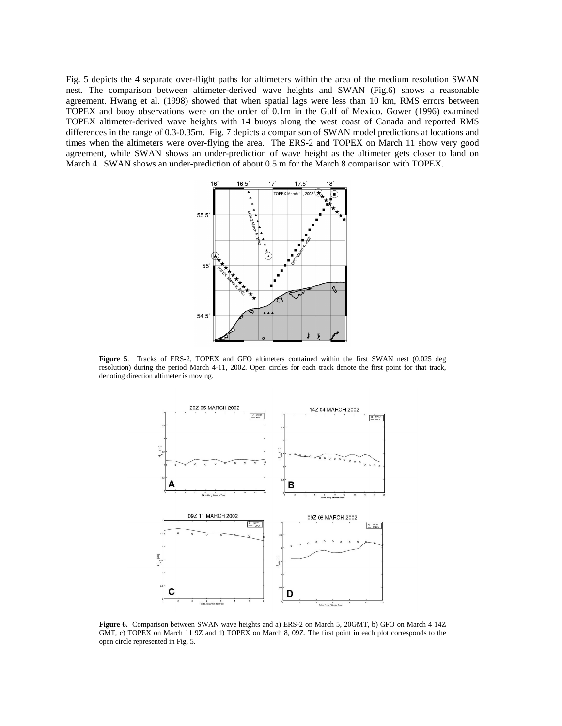Fig. 5 depicts the 4 separate over-flight paths for altimeters within the area of the medium resolution SWAN nest. The comparison between altimeter-derived wave heights and SWAN (Fig.6) shows a reasonable agreement. Hwang et al. (1998) showed that when spatial lags were less than 10 km, RMS errors between TOPEX and buoy observations were on the order of 0.1m in the Gulf of Mexico. Gower (1996) examined TOPEX altimeter-derived wave heights with 14 buoys along the west coast of Canada and reported RMS differences in the range of 0.3-0.35m. Fig. 7 depicts a comparison of SWAN model predictions at locations and times when the altimeters were over-flying the area. The ERS-2 and TOPEX on March 11 show very good agreement, while SWAN shows an under-prediction of wave height as the altimeter gets closer to land on March 4. SWAN shows an under-prediction of about 0.5 m for the March 8 comparison with TOPEX.



**Figure 5**. Tracks of ERS-2, TOPEX and GFO altimeters contained within the first SWAN nest (0.025 deg resolution) during the period March 4-11, 2002. Open circles for each track denote the first point for that track, denoting direction altimeter is moving.



**Figure 6.** Comparison between SWAN wave heights and a) ERS-2 on March 5, 20GMT, b) GFO on March 4 14Z GMT, c) TOPEX on March 11 9Z and d) TOPEX on March 8, 09Z. The first point in each plot corresponds to the open circle represented in Fig. 5.